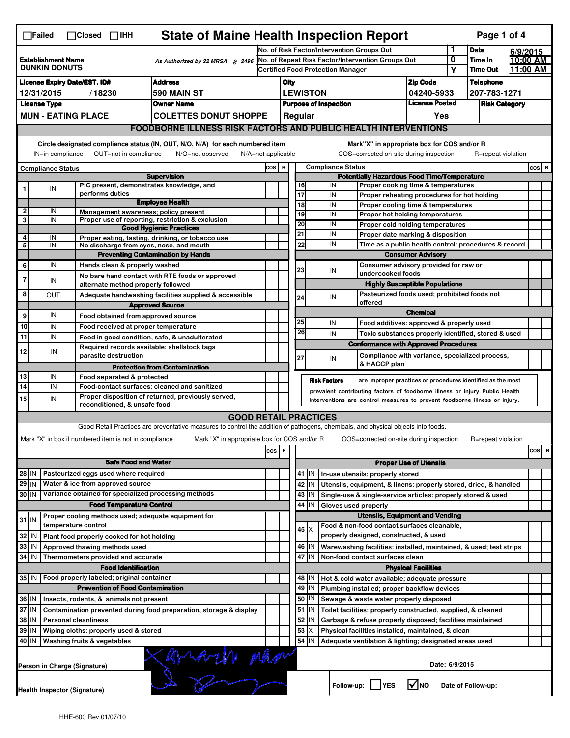| <b>State of Maine Health Inspection Report</b><br>Page 1 of 4<br>$\Box$ Failed<br>$\Box$ Closed<br>$\Box$ IHH                                                                                                                                                                                                                                                      |                                                                                           |                               |                                                       |                                                                                                                                   |                                                        |                                                                                        |                                                                            |                 |                         |                                                                                               |                            |                      |                    |  |         |                         |
|--------------------------------------------------------------------------------------------------------------------------------------------------------------------------------------------------------------------------------------------------------------------------------------------------------------------------------------------------------------------|-------------------------------------------------------------------------------------------|-------------------------------|-------------------------------------------------------|-----------------------------------------------------------------------------------------------------------------------------------|--------------------------------------------------------|----------------------------------------------------------------------------------------|----------------------------------------------------------------------------|-----------------|-------------------------|-----------------------------------------------------------------------------------------------|----------------------------|----------------------|--------------------|--|---------|-------------------------|
|                                                                                                                                                                                                                                                                                                                                                                    |                                                                                           |                               |                                                       |                                                                                                                                   |                                                        | 1<br>No. of Risk Factor/Intervention Groups Out                                        |                                                                            |                 |                         |                                                                                               |                            | <b>Date</b>          | 6/9/2015           |  |         |                         |
| <b>Establishment Name</b><br>As Authorized by 22 MRSA § 2496<br><b>DUNKIN DONUTS</b>                                                                                                                                                                                                                                                                               |                                                                                           |                               |                                                       |                                                                                                                                   | 0<br>No. of Repeat Risk Factor/Intervention Groups Out |                                                                                        |                                                                            |                 |                         |                                                                                               | Time In<br>Time Out        | 10:00 AM<br>11:00 AM |                    |  |         |                         |
|                                                                                                                                                                                                                                                                                                                                                                    |                                                                                           |                               |                                                       |                                                                                                                                   |                                                        | <b>Certified Food Protection Manager</b>                                               |                                                                            |                 |                         |                                                                                               | Υ                          |                      |                    |  |         |                         |
| <b>Address</b><br><b>License Expiry Date/EST. ID#</b><br>590 MAIN ST<br>12/31/2015<br>/18230                                                                                                                                                                                                                                                                       |                                                                                           |                               |                                                       |                                                                                                                                   |                                                        | City                                                                                   |                                                                            |                 | <b>Zip Code</b>         |                                                                                               | Telephone<br>207-783-1271  |                      |                    |  |         |                         |
| <b>Owner Name</b><br><b>License Type</b>                                                                                                                                                                                                                                                                                                                           |                                                                                           |                               |                                                       |                                                                                                                                   |                                                        | 04240-5933<br><b>LEWISTON</b><br><b>License Posted</b><br><b>Purpose of Inspection</b> |                                                                            |                 |                         |                                                                                               |                            | <b>Risk Category</b> |                    |  |         |                         |
| <b>MUN - EATING PLACE</b><br><b>COLETTES DONUT SHOPPE</b>                                                                                                                                                                                                                                                                                                          |                                                                                           |                               |                                                       |                                                                                                                                   |                                                        | Regular<br>Yes                                                                         |                                                                            |                 |                         |                                                                                               |                            |                      |                    |  |         |                         |
|                                                                                                                                                                                                                                                                                                                                                                    |                                                                                           |                               |                                                       |                                                                                                                                   |                                                        |                                                                                        |                                                                            |                 |                         |                                                                                               |                            |                      |                    |  |         |                         |
| <b>FOODBORNE ILLNESS RISK FACTORS AND PUBLIC HEALTH INTERVENTIONS</b><br>Circle designated compliance status (IN, OUT, N/O, N/A) for each numbered item<br>Mark"X" in appropriate box for COS and/or R<br>OUT=not in compliance<br>COS=corrected on-site during inspection<br>R=repeat violation<br>IN=in compliance<br>N/O=not observed<br>$N/A = not$ applicable |                                                                                           |                               |                                                       |                                                                                                                                   |                                                        |                                                                                        |                                                                            |                 |                         |                                                                                               |                            |                      |                    |  |         |                         |
| <b>Compliance Status</b>                                                                                                                                                                                                                                                                                                                                           |                                                                                           |                               |                                                       |                                                                                                                                   |                                                        | COS R                                                                                  | <b>Compliance Status</b>                                                   |                 |                         |                                                                                               |                            |                      |                    |  | $cos$ R |                         |
| <b>Supervision</b>                                                                                                                                                                                                                                                                                                                                                 |                                                                                           |                               |                                                       |                                                                                                                                   |                                                        |                                                                                        | <b>Potentially Hazardous Food Time/Temperature</b>                         |                 |                         |                                                                                               |                            |                      |                    |  |         |                         |
| 1                                                                                                                                                                                                                                                                                                                                                                  | IN                                                                                        |                               |                                                       | PIC present, demonstrates knowledge, and                                                                                          |                                                        |                                                                                        | 16                                                                         |                 | IN                      | Proper cooking time & temperatures                                                            |                            |                      |                    |  |         |                         |
|                                                                                                                                                                                                                                                                                                                                                                    |                                                                                           | performs duties               |                                                       | <b>Employee Health</b>                                                                                                            |                                                        |                                                                                        | 17<br>$\overline{18}$                                                      |                 | IN<br>IN                | Proper reheating procedures for hot holding<br>Proper cooling time & temperatures             |                            |                      |                    |  |         |                         |
| $\overline{2}$                                                                                                                                                                                                                                                                                                                                                     | IN                                                                                        |                               |                                                       | Management awareness; policy present                                                                                              |                                                        |                                                                                        | 19                                                                         |                 | IN                      | Proper hot holding temperatures                                                               |                            |                      |                    |  |         |                         |
| 3                                                                                                                                                                                                                                                                                                                                                                  | IN                                                                                        |                               |                                                       | Proper use of reporting, restriction & exclusion                                                                                  |                                                        |                                                                                        | 20                                                                         |                 | IN                      |                                                                                               |                            |                      |                    |  |         |                         |
|                                                                                                                                                                                                                                                                                                                                                                    |                                                                                           |                               |                                                       | <b>Good Hygienic Practices</b>                                                                                                    |                                                        |                                                                                        | 21                                                                         |                 | IN                      | Proper cold holding temperatures<br>Proper date marking & disposition                         |                            |                      |                    |  |         |                         |
| 4<br>5                                                                                                                                                                                                                                                                                                                                                             | IN<br>IN                                                                                  |                               |                                                       | Proper eating, tasting, drinking, or tobacco use                                                                                  |                                                        |                                                                                        | 22                                                                         |                 | IN                      | Time as a public health control: procedures & record                                          |                            |                      |                    |  |         |                         |
|                                                                                                                                                                                                                                                                                                                                                                    | No discharge from eyes, nose, and mouth<br><b>Preventing Contamination by Hands</b>       |                               |                                                       |                                                                                                                                   |                                                        |                                                                                        | <b>Consumer Advisory</b>                                                   |                 |                         |                                                                                               |                            |                      |                    |  |         |                         |
| 6                                                                                                                                                                                                                                                                                                                                                                  | IN                                                                                        |                               | Hands clean & properly washed                         |                                                                                                                                   |                                                        |                                                                                        | Consumer advisory provided for raw or                                      |                 |                         |                                                                                               |                            |                      |                    |  |         |                         |
|                                                                                                                                                                                                                                                                                                                                                                    |                                                                                           |                               |                                                       | No bare hand contact with RTE foods or approved                                                                                   |                                                        |                                                                                        | 23                                                                         |                 | IN<br>undercooked foods |                                                                                               |                            |                      |                    |  |         |                         |
| 7                                                                                                                                                                                                                                                                                                                                                                  | IN                                                                                        |                               | alternate method properly followed                    |                                                                                                                                   |                                                        |                                                                                        |                                                                            |                 |                         | <b>Highly Susceptible Populations</b>                                                         |                            |                      |                    |  |         |                         |
| 8                                                                                                                                                                                                                                                                                                                                                                  | ΟUΤ                                                                                       |                               |                                                       | Adequate handwashing facilities supplied & accessible                                                                             |                                                        |                                                                                        | 24                                                                         |                 | IN                      | Pasteurized foods used; prohibited foods not                                                  |                            |                      |                    |  |         |                         |
|                                                                                                                                                                                                                                                                                                                                                                    |                                                                                           |                               |                                                       | <b>Approved Source</b>                                                                                                            |                                                        |                                                                                        |                                                                            |                 |                         | offered                                                                                       |                            |                      |                    |  |         |                         |
| 9                                                                                                                                                                                                                                                                                                                                                                  | IN                                                                                        |                               |                                                       | Food obtained from approved source                                                                                                |                                                        |                                                                                        | 25                                                                         |                 |                         |                                                                                               | <b>Chemical</b>            |                      |                    |  |         |                         |
| 10                                                                                                                                                                                                                                                                                                                                                                 | IN                                                                                        |                               |                                                       | Food received at proper temperature                                                                                               |                                                        |                                                                                        | 26                                                                         |                 | IN                      | Food additives: approved & properly used                                                      |                            |                      |                    |  |         |                         |
| 11                                                                                                                                                                                                                                                                                                                                                                 | IN                                                                                        |                               |                                                       | Food in good condition, safe, & unadulterated                                                                                     |                                                        |                                                                                        |                                                                            |                 | IN                      | Toxic substances properly identified, stored & used                                           |                            |                      |                    |  |         |                         |
| 12                                                                                                                                                                                                                                                                                                                                                                 | IN                                                                                        |                               | parasite destruction                                  | Required records available: shellstock tags                                                                                       |                                                        |                                                                                        | 27                                                                         |                 | IN                      | <b>Conformance with Approved Procedures</b><br>Compliance with variance, specialized process, |                            |                      |                    |  |         |                         |
|                                                                                                                                                                                                                                                                                                                                                                    |                                                                                           |                               |                                                       | <b>Protection from Contamination</b>                                                                                              |                                                        |                                                                                        |                                                                            |                 |                         | & HACCP plan                                                                                  |                            |                      |                    |  |         |                         |
| 13                                                                                                                                                                                                                                                                                                                                                                 | IN                                                                                        |                               | Food separated & protected                            |                                                                                                                                   |                                                        |                                                                                        |                                                                            |                 | <b>Risk Factors</b>     | are improper practices or procedures identified as the most                                   |                            |                      |                    |  |         |                         |
| 14                                                                                                                                                                                                                                                                                                                                                                 | IN                                                                                        |                               |                                                       | Food-contact surfaces: cleaned and sanitized<br>Proper disposition of returned, previously served,                                |                                                        |                                                                                        |                                                                            |                 |                         | prevalent contributing factors of foodborne illness or injury. Public Health                  |                            |                      |                    |  |         |                         |
| 15                                                                                                                                                                                                                                                                                                                                                                 | IN                                                                                        |                               | reconditioned, & unsafe food                          |                                                                                                                                   |                                                        |                                                                                        | Interventions are control measures to prevent foodborne illness or injury. |                 |                         |                                                                                               |                            |                      |                    |  |         |                         |
|                                                                                                                                                                                                                                                                                                                                                                    |                                                                                           |                               |                                                       | <b>GOOD RETAIL PRACTICES</b>                                                                                                      |                                                        |                                                                                        |                                                                            |                 |                         |                                                                                               |                            |                      |                    |  |         |                         |
|                                                                                                                                                                                                                                                                                                                                                                    |                                                                                           |                               |                                                       | Good Retail Practices are preventative measures to control the addition of pathogens, chemicals, and physical objects into foods. |                                                        |                                                                                        |                                                                            |                 |                         |                                                                                               |                            |                      |                    |  |         |                         |
|                                                                                                                                                                                                                                                                                                                                                                    |                                                                                           |                               | Mark "X" in box if numbered item is not in compliance | Mark "X" in appropriate box for COS and/or R                                                                                      |                                                        |                                                                                        |                                                                            |                 |                         | COS=corrected on-site during inspection                                                       |                            |                      | R=repeat violation |  |         |                         |
|                                                                                                                                                                                                                                                                                                                                                                    |                                                                                           |                               |                                                       |                                                                                                                                   | $\cos$                                                 | R                                                                                      |                                                                            |                 |                         |                                                                                               |                            |                      |                    |  | cosl    | $\overline{\mathbf{R}}$ |
|                                                                                                                                                                                                                                                                                                                                                                    |                                                                                           |                               | <b>Safe Food and Water</b>                            |                                                                                                                                   |                                                        |                                                                                        | <b>Proper Use of Utensils</b>                                              |                 |                         |                                                                                               |                            |                      |                    |  |         |                         |
| 28 IN                                                                                                                                                                                                                                                                                                                                                              |                                                                                           |                               | Pasteurized eggs used where required                  |                                                                                                                                   |                                                        |                                                                                        | 41 J IN<br>In-use utensils: properly stored                                |                 |                         |                                                                                               |                            |                      |                    |  |         |                         |
| $29$ IN<br>Water & ice from approved source                                                                                                                                                                                                                                                                                                                        |                                                                                           |                               |                                                       |                                                                                                                                   |                                                        |                                                                                        |                                                                            | 42   IN         |                         | Utensils, equipment, & linens: properly stored, dried, & handled                              |                            |                      |                    |  |         |                         |
| 30 IN                                                                                                                                                                                                                                                                                                                                                              |                                                                                           |                               |                                                       | Variance obtained for specialized processing methods                                                                              |                                                        |                                                                                        |                                                                            | $43$   IN       |                         | Single-use & single-service articles: properly stored & used                                  |                            |                      |                    |  |         |                         |
| <b>Food Temperature Control</b>                                                                                                                                                                                                                                                                                                                                    |                                                                                           |                               |                                                       |                                                                                                                                   |                                                        |                                                                                        |                                                                            | 44   IN         | Gloves used properly    |                                                                                               |                            |                      |                    |  |         |                         |
| $31$ IN                                                                                                                                                                                                                                                                                                                                                            |                                                                                           |                               |                                                       | Proper cooling methods used; adequate equipment for                                                                               |                                                        |                                                                                        | <b>Utensils, Equipment and Vending</b>                                     |                 |                         |                                                                                               |                            |                      |                    |  |         |                         |
|                                                                                                                                                                                                                                                                                                                                                                    |                                                                                           | temperature control           |                                                       |                                                                                                                                   |                                                        |                                                                                        |                                                                            | $45 \times$     |                         | Food & non-food contact surfaces cleanable,                                                   |                            |                      |                    |  |         |                         |
| 32                                                                                                                                                                                                                                                                                                                                                                 | l IN                                                                                      |                               | Plant food properly cooked for hot holding            |                                                                                                                                   |                                                        |                                                                                        |                                                                            |                 |                         | properly designed, constructed, & used                                                        |                            |                      |                    |  |         |                         |
| 33                                                                                                                                                                                                                                                                                                                                                                 | IN                                                                                        | Approved thawing methods used |                                                       |                                                                                                                                   |                                                        |                                                                                        |                                                                            | 46   IN         |                         | Warewashing facilities: installed, maintained, & used; test strips                            |                            |                      |                    |  |         |                         |
| 34<br>IN<br>Thermometers provided and accurate                                                                                                                                                                                                                                                                                                                     |                                                                                           |                               |                                                       |                                                                                                                                   |                                                        |                                                                                        | 47<br>İΙN<br>Non-food contact surfaces clean                               |                 |                         |                                                                                               |                            |                      |                    |  |         |                         |
|                                                                                                                                                                                                                                                                                                                                                                    |                                                                                           |                               | <b>Food Identification</b>                            |                                                                                                                                   |                                                        |                                                                                        |                                                                            |                 |                         |                                                                                               | <b>Physical Facilities</b> |                      |                    |  |         |                         |
|                                                                                                                                                                                                                                                                                                                                                                    | 35 IN   Food properly labeled; original container                                         |                               |                                                       |                                                                                                                                   |                                                        |                                                                                        |                                                                            | 48   IN         |                         | Hot & cold water available; adequate pressure                                                 |                            |                      |                    |  |         |                         |
|                                                                                                                                                                                                                                                                                                                                                                    | <b>Prevention of Food Contamination</b>                                                   |                               |                                                       |                                                                                                                                   |                                                        |                                                                                        |                                                                            | 49 IN           |                         | Plumbing installed; proper backflow devices                                                   |                            |                      |                    |  |         |                         |
|                                                                                                                                                                                                                                                                                                                                                                    | 36 IN<br>Insects, rodents, & animals not present                                          |                               |                                                       |                                                                                                                                   |                                                        |                                                                                        |                                                                            | 50   IN         |                         | Sewage & waste water properly disposed                                                        |                            |                      |                    |  |         |                         |
| 37 IN<br>Contamination prevented during food preparation, storage & display                                                                                                                                                                                                                                                                                        |                                                                                           |                               |                                                       |                                                                                                                                   |                                                        |                                                                                        |                                                                            | $51$ $\vert$ IN |                         | Toilet facilities: properly constructed, supplied, & cleaned                                  |                            |                      |                    |  |         |                         |
| 38 IN<br><b>Personal cleanliness</b>                                                                                                                                                                                                                                                                                                                               |                                                                                           |                               |                                                       |                                                                                                                                   |                                                        |                                                                                        |                                                                            | 52 IN           |                         | Garbage & refuse properly disposed; facilities maintained                                     |                            |                      |                    |  |         |                         |
| 39 IN<br>Wiping cloths: properly used & stored                                                                                                                                                                                                                                                                                                                     |                                                                                           |                               |                                                       |                                                                                                                                   |                                                        |                                                                                        |                                                                            | $53$ $\times$   |                         | Physical facilities installed, maintained, & clean                                            |                            |                      |                    |  |         |                         |
| 40 IN<br>54   IN<br>Washing fruits & vegetables<br>Adequate ventilation & lighting; designated areas used                                                                                                                                                                                                                                                          |                                                                                           |                               |                                                       |                                                                                                                                   |                                                        |                                                                                        |                                                                            |                 |                         |                                                                                               |                            |                      |                    |  |         |                         |
|                                                                                                                                                                                                                                                                                                                                                                    | SA Will Man<br>Date: 6/9/2015<br>Person in Charge (Signature)                             |                               |                                                       |                                                                                                                                   |                                                        |                                                                                        |                                                                            |                 |                         |                                                                                               |                            |                      |                    |  |         |                         |
|                                                                                                                                                                                                                                                                                                                                                                    | $\sqrt{ }$ NO<br>Follow-up:     YES<br>Date of Follow-up:<br>Health Inspector (Signature) |                               |                                                       |                                                                                                                                   |                                                        |                                                                                        |                                                                            |                 |                         |                                                                                               |                            |                      |                    |  |         |                         |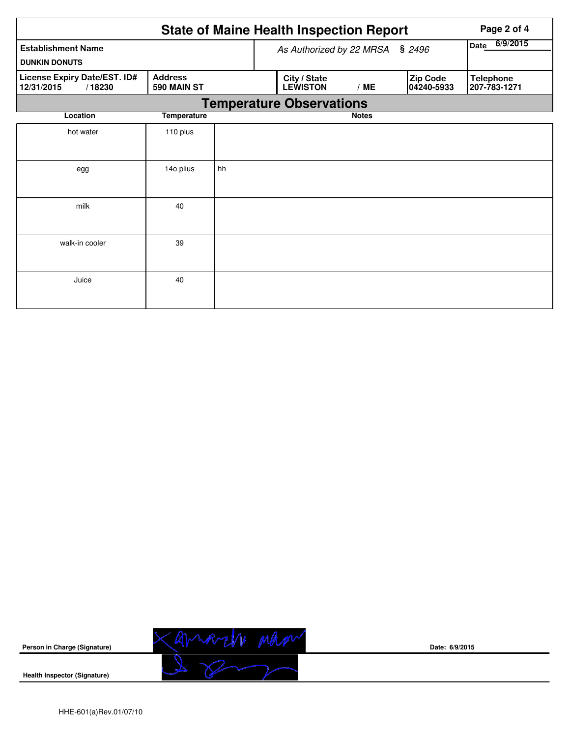|                                                      |                               |                          | <b>State of Maine Health Inspection Report</b> | Page 2 of 4 |                        |                                  |  |  |  |  |
|------------------------------------------------------|-------------------------------|--------------------------|------------------------------------------------|-------------|------------------------|----------------------------------|--|--|--|--|
| <b>Establishment Name</b><br><b>DUNKIN DONUTS</b>    |                               | As Authorized by 22 MRSA | 6/9/2015<br>Date                               |             |                        |                                  |  |  |  |  |
| License Expiry Date/EST. ID#<br>12/31/2015<br>/18230 | <b>Address</b><br>590 MAIN ST |                          | City / State<br><b>LEWISTON</b>                | /ME         | Zip Code<br>04240-5933 | <b>Telephone</b><br>207-783-1271 |  |  |  |  |
| <b>Temperature Observations</b>                      |                               |                          |                                                |             |                        |                                  |  |  |  |  |
| Location                                             |                               |                          | <b>Notes</b>                                   |             |                        |                                  |  |  |  |  |
| hot water                                            | 110 plus                      |                          |                                                |             |                        |                                  |  |  |  |  |
| egg                                                  | 14o plius                     | hh                       |                                                |             |                        |                                  |  |  |  |  |
| milk                                                 | 40                            |                          |                                                |             |                        |                                  |  |  |  |  |
| walk-in cooler                                       | 39                            |                          |                                                |             |                        |                                  |  |  |  |  |
| Juice                                                | 40                            |                          |                                                |             |                        |                                  |  |  |  |  |



**Date: 6/9/2015**

**Health Inspector (Signature)**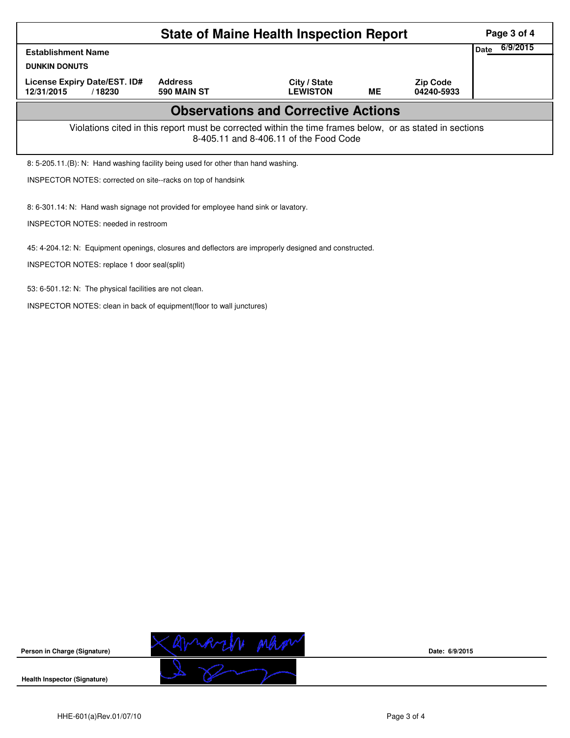| <b>State of Maine Health Inspection Report</b>                                                                                                     |                                                                                                                |  |  |  |  |  |  |  |  |
|----------------------------------------------------------------------------------------------------------------------------------------------------|----------------------------------------------------------------------------------------------------------------|--|--|--|--|--|--|--|--|
| <b>Establishment Name</b>                                                                                                                          |                                                                                                                |  |  |  |  |  |  |  |  |
| <b>DUNKIN DONUTS</b>                                                                                                                               |                                                                                                                |  |  |  |  |  |  |  |  |
| License Expiry Date/EST. ID#<br>12/31/2015<br>/18230                                                                                               | <b>Address</b><br>City / State<br><b>Zip Code</b><br><b>ME</b><br>590 MAIN ST<br><b>LEWISTON</b><br>04240-5933 |  |  |  |  |  |  |  |  |
| <b>Observations and Corrective Actions</b>                                                                                                         |                                                                                                                |  |  |  |  |  |  |  |  |
| Violations cited in this report must be corrected within the time frames below, or as stated in sections<br>8-405.11 and 8-406.11 of the Food Code |                                                                                                                |  |  |  |  |  |  |  |  |
| 8: 5-205.11.(B): N: Hand washing facility being used for other than hand washing.                                                                  |                                                                                                                |  |  |  |  |  |  |  |  |
| INSPECTOR NOTES: corrected on site--racks on top of handsink                                                                                       |                                                                                                                |  |  |  |  |  |  |  |  |
| 8: 6-301.14: N: Hand wash signage not provided for employee hand sink or lavatory.<br><b>INSPECTOR NOTES: needed in restroom</b>                   |                                                                                                                |  |  |  |  |  |  |  |  |
| 45: 4-204.12: N: Equipment openings, closures and deflectors are improperly designed and constructed.                                              |                                                                                                                |  |  |  |  |  |  |  |  |

INSPECTOR NOTES: replace 1 door seal(split)

53: 6-501.12: N: The physical facilities are not clean.

INSPECTOR NOTES: clean in back of equipment(floor to wall junctures)



**Date: 6/9/2015**